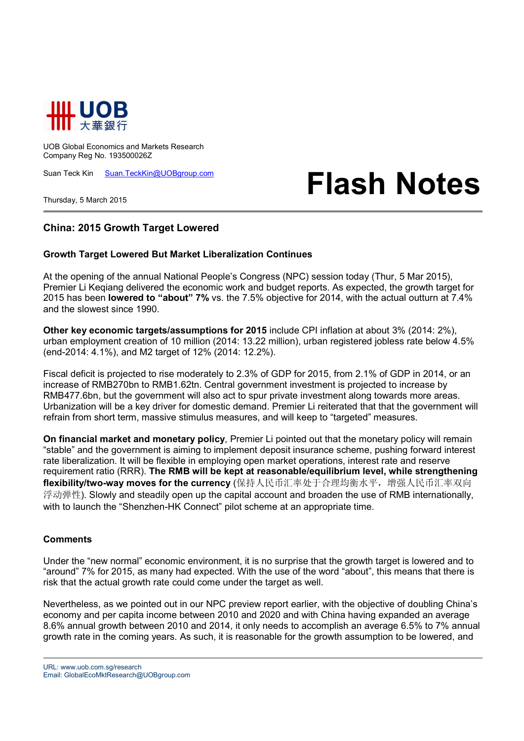

UOB Global Economics and Markets Research Company Reg No. 193500026Z

Suan Teck Kin Suan.TeckKin@UOBgroup.com

Thursday, 5 March 2015

## **Flash Notes**

## **China: 2015 Growth Target Lowered**

## **Growth Target Lowered But Market Liberalization Continues**

At the opening of the annual National People's Congress (NPC) session today (Thur, 5 Mar 2015), Premier Li Keqiang delivered the economic work and budget reports. As expected, the growth target for 2015 has been **lowered to "about" 7%** vs. the 7.5% objective for 2014, with the actual outturn at 7.4% and the slowest since 1990.

**Other key economic targets/assumptions for 2015** include CPI inflation at about 3% (2014: 2%), urban employment creation of 10 million (2014: 13.22 million), urban registered jobless rate below 4.5% (end-2014: 4.1%), and M2 target of 12% (2014: 12.2%).

Fiscal deficit is projected to rise moderately to 2.3% of GDP for 2015, from 2.1% of GDP in 2014, or an increase of RMB270bn to RMB1.62tn. Central government investment is projected to increase by RMB477.6bn, but the government will also act to spur private investment along towards more areas. Urbanization will be a key driver for domestic demand. Premier Li reiterated that that the government will refrain from short term, massive stimulus measures, and will keep to "targeted" measures.

**On financial market and monetary policy**, Premier Li pointed out that the monetary policy will remain "stable" and the government is aiming to implement deposit insurance scheme, pushing forward interest rate liberalization. It will be flexible in employing open market operations, interest rate and reserve requirement ratio (RRR). **The RMB will be kept at reasonable/equilibrium level, while strengthening flexibility/two-way moves for the currency** (保持人民币汇率处于合理均衡水平,增强人民币汇率双向 浮动弹性). Slowly and steadily open up the capital account and broaden the use of RMB internationally, with to launch the "Shenzhen-HK Connect" pilot scheme at an appropriate time.

## **Comments**

Under the "new normal" economic environment, it is no surprise that the growth target is lowered and to "around" 7% for 2015, as many had expected. With the use of the word "about", this means that there is risk that the actual growth rate could come under the target as well.

Nevertheless, as we pointed out in our NPC preview report earlier, with the objective of doubling China's economy and per capita income between 2010 and 2020 and with China having expanded an average 8.6% annual growth between 2010 and 2014, it only needs to accomplish an average 6.5% to 7% annual growth rate in the coming years. As such, it is reasonable for the growth assumption to be lowered, and

URL: www.uob.com.sg/research Email: GlobalEcoMktResearch@UOBgroup.com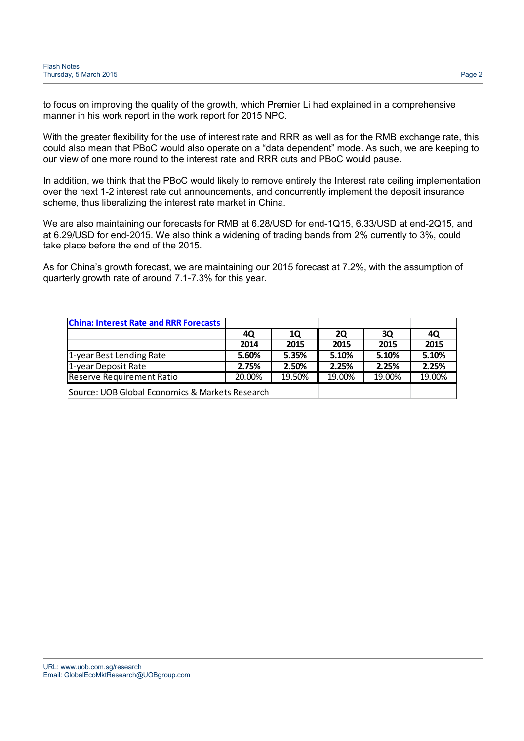to focus on improving the quality of the growth, which Premier Li had explained in a comprehensive manner in his work report in the work report for 2015 NPC.

With the greater flexibility for the use of interest rate and RRR as well as for the RMB exchange rate, this could also mean that PBoC would also operate on a "data dependent" mode. As such, we are keeping to our view of one more round to the interest rate and RRR cuts and PBoC would pause.

In addition, we think that the PBoC would likely to remove entirely the Interest rate ceiling implementation over the next 1-2 interest rate cut announcements, and concurrently implement the deposit insurance scheme, thus liberalizing the interest rate market in China.

We are also maintaining our forecasts for RMB at 6.28/USD for end-1Q15, 6.33/USD at end-2Q15, and at 6.29/USD for end-2015. We also think a widening of trading bands from 2% currently to 3%, could take place before the end of the 2015.

As for China's growth forecast, we are maintaining our 2015 forecast at 7.2%, with the assumption of quarterly growth rate of around 7.1-7.3% for this year.

| <b>China: Interest Rate and RRR Forecasts</b>   |        |        |           |        |        |
|-------------------------------------------------|--------|--------|-----------|--------|--------|
|                                                 | 4Q     | 1Q     | <b>2Q</b> | 3Q     | 4Q     |
|                                                 | 2014   | 2015   | 2015      | 2015   | 2015   |
| 1-year Best Lending Rate                        | 5.60%  | 5.35%  | 5.10%     | 5.10%  | 5.10%  |
| 1-year Deposit Rate                             | 2.75%  | 2.50%  | 2.25%     | 2.25%  | 2.25%  |
| Reserve Requirement Ratio                       | 20.00% | 19.50% | 19.00%    | 19.00% | 19.00% |
| Source: UOB Global Economics & Markets Research |        |        |           |        |        |